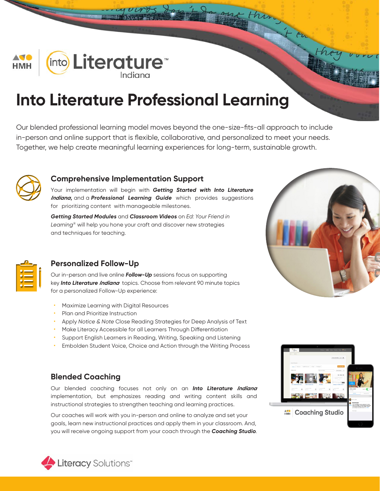

# **Into Literature Professional Learning**

Our blended professional learning model moves beyond the one-size-fits-all approach to include in-person and online support that is flexible, collaborative, and personalized to meet your needs. Together, we help create meaningful learning experiences for long-term, sustainable growth.



## **Comprehensive Implementation Support**

Your implementation will begin with *Getting Started with Into Literature Indiana***,** and a *Professional Learning Guide* which provides suggestions for prioritizing content with manageable milestones.

*Getting Started Modules* and *Classroom Videos* on *Ed: Your Friend in Learning*® will help you hone your craft and discover new strategies and techniques for teaching.



## **Personalized Follow-Up**

Our in-person and live online *Follow-Up* sessions focus on supporting key *Into Literature Indiana* topics. Choose from relevant 90 minute topics for a personalized Follow-Up experience:

- Maximize Learning with Digital Resources
- Plan and Prioritize Instruction
- Apply *Notice & Note* Close Reading Strategies for Deep Analysis of Text
- Make Literacy Accessible for all Learners Through Differentiation
- Support English Learners in Reading, Writing, Speaking and Listening
- Embolden Student Voice, Choice and Action through the Writing Process

## **Blended Coaching**

Our blended coaching focuses not only on an *Into Literature Indiana* implementation, but emphasizes reading and writing content skills and instructional strategies to strengthen teaching and learning practices.

Our coaches will work with you in-person and online to analyze and set your goals, learn new instructional practices and apply them in your classroom. And, you will receive ongoing support from your coach through the *Coaching Studio*.